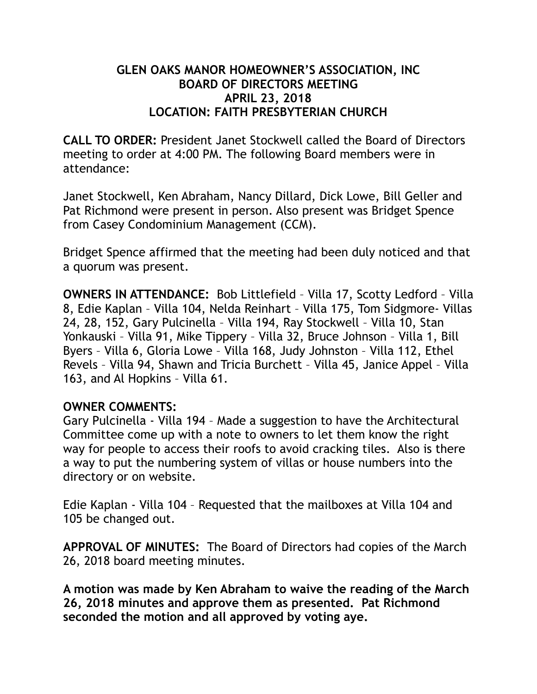### **GLEN OAKS MANOR HOMEOWNER'S ASSOCIATION, INC BOARD OF DIRECTORS MEETING APRIL 23, 2018 LOCATION: FAITH PRESBYTERIAN CHURCH**

**CALL TO ORDER:** President Janet Stockwell called the Board of Directors meeting to order at 4:00 PM. The following Board members were in attendance:

Janet Stockwell, Ken Abraham, Nancy Dillard, Dick Lowe, Bill Geller and Pat Richmond were present in person. Also present was Bridget Spence from Casey Condominium Management (CCM).

Bridget Spence affirmed that the meeting had been duly noticed and that a quorum was present.

**OWNERS IN ATTENDANCE:** Bob Littlefield – Villa 17, Scotty Ledford – Villa 8, Edie Kaplan – Villa 104, Nelda Reinhart – Villa 175, Tom Sidgmore- Villas 24, 28, 152, Gary Pulcinella – Villa 194, Ray Stockwell – Villa 10, Stan Yonkauski – Villa 91, Mike Tippery – Villa 32, Bruce Johnson – Villa 1, Bill Byers – Villa 6, Gloria Lowe – Villa 168, Judy Johnston – Villa 112, Ethel Revels – Villa 94, Shawn and Tricia Burchett – Villa 45, Janice Appel – Villa 163, and Al Hopkins – Villa 61.

#### **OWNER COMMENTS:**

Gary Pulcinella - Villa 194 – Made a suggestion to have the Architectural Committee come up with a note to owners to let them know the right way for people to access their roofs to avoid cracking tiles. Also is there a way to put the numbering system of villas or house numbers into the directory or on website.

Edie Kaplan - Villa 104 – Requested that the mailboxes at Villa 104 and 105 be changed out.

**APPROVAL OF MINUTES:** The Board of Directors had copies of the March 26, 2018 board meeting minutes.

**A motion was made by Ken Abraham to waive the reading of the March 26, 2018 minutes and approve them as presented. Pat Richmond seconded the motion and all approved by voting aye.**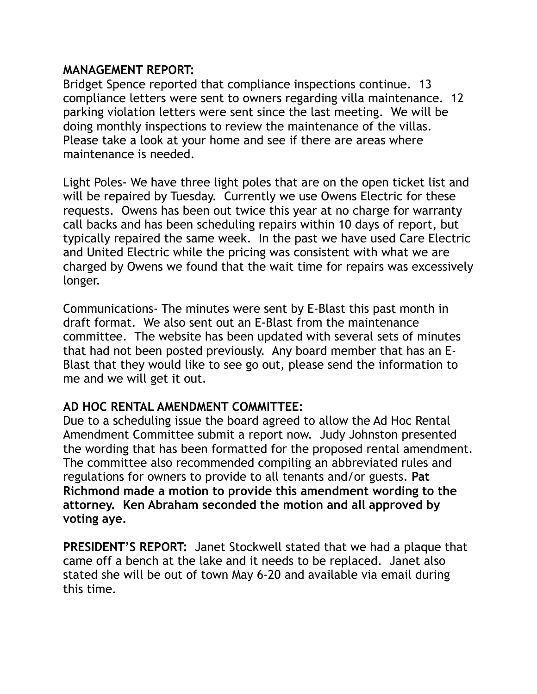#### **MANAGEMENT REPORT:**

Bridget Spence reported that compliance inspections continue. 13 compliance letters were sent to owners regarding villa maintenance. 12 parking violation letters were sent since the last meeting. We will be doing monthly inspections to review the maintenance of the villas. Please take a look at your home and see if there are areas where maintenance is needed.

Light Poles- We have three light poles that are on the open ticket list and will be repaired by Tuesday. Currently we use Owens Electric for these requests. Owens has been out twice this year at no charge for warranty call backs and has been scheduling repairs within 10 days of report, but typically repaired the same week. In the past we have used Care Electric and United Electric while the pricing was consistent with what we are charged by Owens we found that the wait time for repairs was excessively longer.

Communications- The minutes were sent by E-Blast this past month in draft format. We also sent out an E-Blast from the maintenance committee. The website has been updated with several sets of minutes that had not been posted previously. Any board member that has an E-Blast that they would like to see go out, please send the information to me and we will get it out.

### **AD HOC RENTAL AMENDMENT COMMITTEE:**

Due to a scheduling issue the board agreed to allow the Ad Hoc Rental Amendment Committee submit a report now. Judy Johnston presented the wording that has been formatted for the proposed rental amendment. The committee also recommended compiling an abbreviated rules and regulations for owners to provide to all tenants and/or guests. **Pat Richmond made a motion to provide this amendment wording to the attorney. Ken Abraham seconded the motion and all approved by voting aye.** 

**PRESIDENT'S REPORT:** Janet Stockwell stated that we had a plaque that came off a bench at the lake and it needs to be replaced. Janet also stated she will be out of town May 6-20 and available via email during this time.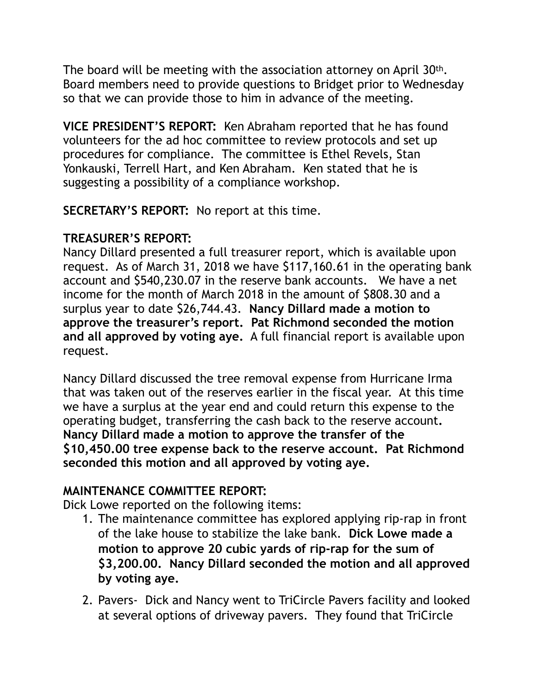The board will be meeting with the association attorney on April 30th. Board members need to provide questions to Bridget prior to Wednesday so that we can provide those to him in advance of the meeting.

**VICE PRESIDENT'S REPORT:** Ken Abraham reported that he has found volunteers for the ad hoc committee to review protocols and set up procedures for compliance. The committee is Ethel Revels, Stan Yonkauski, Terrell Hart, and Ken Abraham. Ken stated that he is suggesting a possibility of a compliance workshop.

**SECRETARY'S REPORT:** No report at this time.

# **TREASURER'S REPORT:**

Nancy Dillard presented a full treasurer report, which is available upon request. As of March 31, 2018 we have \$117,160.61 in the operating bank account and \$540,230.07 in the reserve bank accounts. We have a net income for the month of March 2018 in the amount of \$808.30 and a surplus year to date \$26,744.43. **Nancy Dillard made a motion to approve the treasurer's report. Pat Richmond seconded the motion and all approved by voting aye.** A full financial report is available upon request.

Nancy Dillard discussed the tree removal expense from Hurricane Irma that was taken out of the reserves earlier in the fiscal year. At this time we have a surplus at the year end and could return this expense to the operating budget, transferring the cash back to the reserve account**. Nancy Dillard made a motion to approve the transfer of the \$10,450.00 tree expense back to the reserve account. Pat Richmond seconded this motion and all approved by voting aye.** 

## **MAINTENANCE COMMITTEE REPORT:**

Dick Lowe reported on the following items:

- 1. The maintenance committee has explored applying rip-rap in front of the lake house to stabilize the lake bank. **Dick Lowe made a motion to approve 20 cubic yards of rip-rap for the sum of \$3,200.00. Nancy Dillard seconded the motion and all approved by voting aye.**
- 2. Pavers- Dick and Nancy went to TriCircle Pavers facility and looked at several options of driveway pavers. They found that TriCircle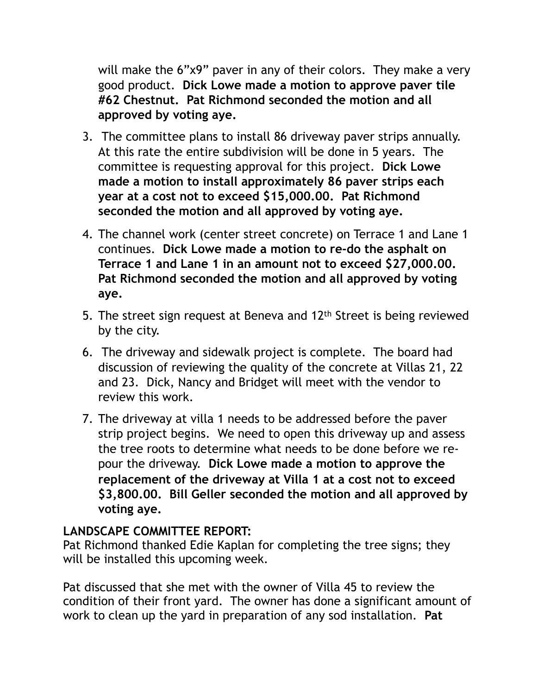will make the 6"x9" paver in any of their colors. They make a very good product. **Dick Lowe made a motion to approve paver tile #62 Chestnut. Pat Richmond seconded the motion and all approved by voting aye.** 

- 3. The committee plans to install 86 driveway paver strips annually. At this rate the entire subdivision will be done in 5 years. The committee is requesting approval for this project. **Dick Lowe made a motion to install approximately 86 paver strips each year at a cost not to exceed \$15,000.00. Pat Richmond seconded the motion and all approved by voting aye.**
- 4. The channel work (center street concrete) on Terrace 1 and Lane 1 continues. **Dick Lowe made a motion to re-do the asphalt on Terrace 1 and Lane 1 in an amount not to exceed \$27,000.00. Pat Richmond seconded the motion and all approved by voting aye.**
- 5. The street sign request at Beneva and 12<sup>th</sup> Street is being reviewed by the city.
- 6. The driveway and sidewalk project is complete. The board had discussion of reviewing the quality of the concrete at Villas 21, 22 and 23. Dick, Nancy and Bridget will meet with the vendor to review this work.
- 7. The driveway at villa 1 needs to be addressed before the paver strip project begins. We need to open this driveway up and assess the tree roots to determine what needs to be done before we repour the driveway. **Dick Lowe made a motion to approve the replacement of the driveway at Villa 1 at a cost not to exceed \$3,800.00. Bill Geller seconded the motion and all approved by voting aye.**

## **LANDSCAPE COMMITTEE REPORT:**

Pat Richmond thanked Edie Kaplan for completing the tree signs; they will be installed this upcoming week.

Pat discussed that she met with the owner of Villa 45 to review the condition of their front yard. The owner has done a significant amount of work to clean up the yard in preparation of any sod installation. **Pat**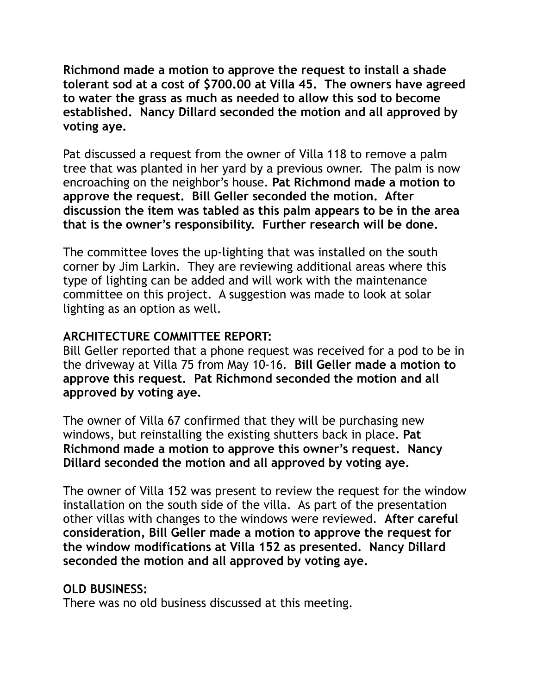**Richmond made a motion to approve the request to install a shade tolerant sod at a cost of \$700.00 at Villa 45. The owners have agreed to water the grass as much as needed to allow this sod to become established. Nancy Dillard seconded the motion and all approved by voting aye.** 

Pat discussed a request from the owner of Villa 118 to remove a palm tree that was planted in her yard by a previous owner. The palm is now encroaching on the neighbor's house. **Pat Richmond made a motion to approve the request. Bill Geller seconded the motion. After discussion the item was tabled as this palm appears to be in the area that is the owner's responsibility. Further research will be done.** 

The committee loves the up-lighting that was installed on the south corner by Jim Larkin. They are reviewing additional areas where this type of lighting can be added and will work with the maintenance committee on this project. A suggestion was made to look at solar lighting as an option as well.

### **ARCHITECTURE COMMITTEE REPORT:**

Bill Geller reported that a phone request was received for a pod to be in the driveway at Villa 75 from May 10-16. **Bill Geller made a motion to approve this request. Pat Richmond seconded the motion and all approved by voting aye.** 

The owner of Villa 67 confirmed that they will be purchasing new windows, but reinstalling the existing shutters back in place. **Pat Richmond made a motion to approve this owner's request. Nancy Dillard seconded the motion and all approved by voting aye.** 

The owner of Villa 152 was present to review the request for the window installation on the south side of the villa. As part of the presentation other villas with changes to the windows were reviewed. **After careful consideration, Bill Geller made a motion to approve the request for the window modifications at Villa 152 as presented. Nancy Dillard seconded the motion and all approved by voting aye.** 

## **OLD BUSINESS:**

There was no old business discussed at this meeting.